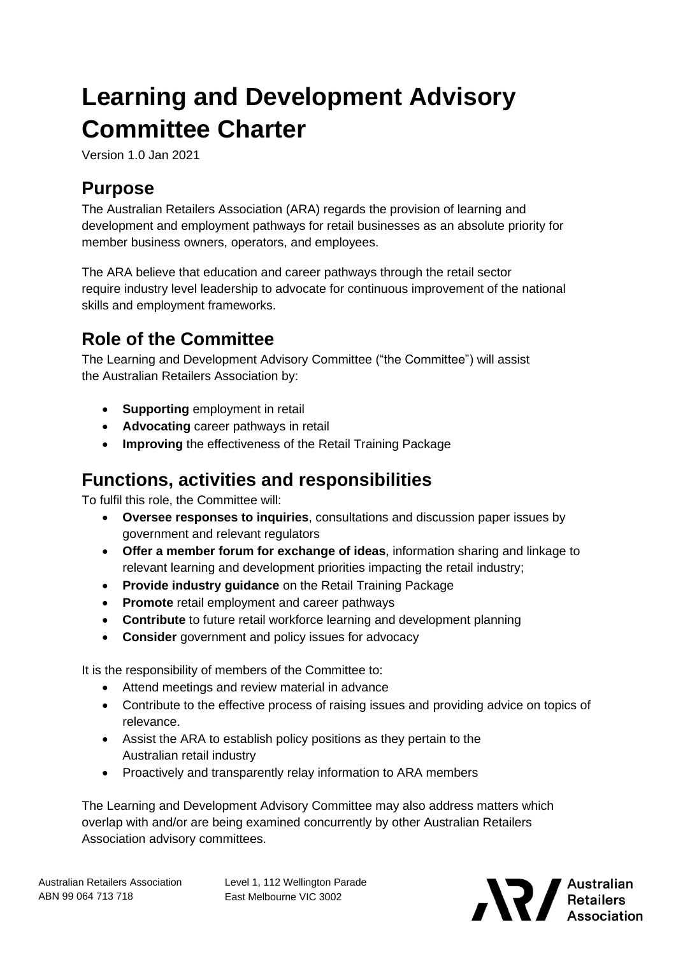# **Learning and Development Advisory Committee Charter**

Version 1.0 Jan 2021

# **Purpose**

The Australian Retailers Association (ARA) regards the provision of learning and development and employment pathways for retail businesses as an absolute priority for member business owners, operators, and employees.

The ARA believe that education and career pathways through the retail sector require industry level leadership to advocate for continuous improvement of the national skills and employment frameworks.

# **Role of the Committee**

The Learning and Development Advisory Committee ("the Committee") will assist the Australian Retailers Association by:

- **Supporting** employment in retail
- **Advocating** career pathways in retail
- **Improving** the effectiveness of the Retail Training Package

## **Functions, activities and responsibilities**

To fulfil this role, the Committee will:

- **Oversee responses to inquiries**, consultations and discussion paper issues by government and relevant regulators
- **Offer a member forum for exchange of ideas**, information sharing and linkage to relevant learning and development priorities impacting the retail industry;
- **Provide industry guidance** on the Retail Training Package
- **Promote** retail employment and career pathways
- **Contribute** to future retail workforce learning and development planning
- **Consider** government and policy issues for advocacy

It is the responsibility of members of the Committee to:

- Attend meetings and review material in advance
- Contribute to the effective process of raising issues and providing advice on topics of relevance.
- Assist the ARA to establish policy positions as they pertain to the Australian retail industry
- Proactively and transparently relay information to ARA members

The Learning and Development Advisory Committee may also address matters which overlap with and/or are being examined concurrently by other Australian Retailers Association advisory committees.

Level 1, 112 Wellington Parade East Melbourne VIC 3002

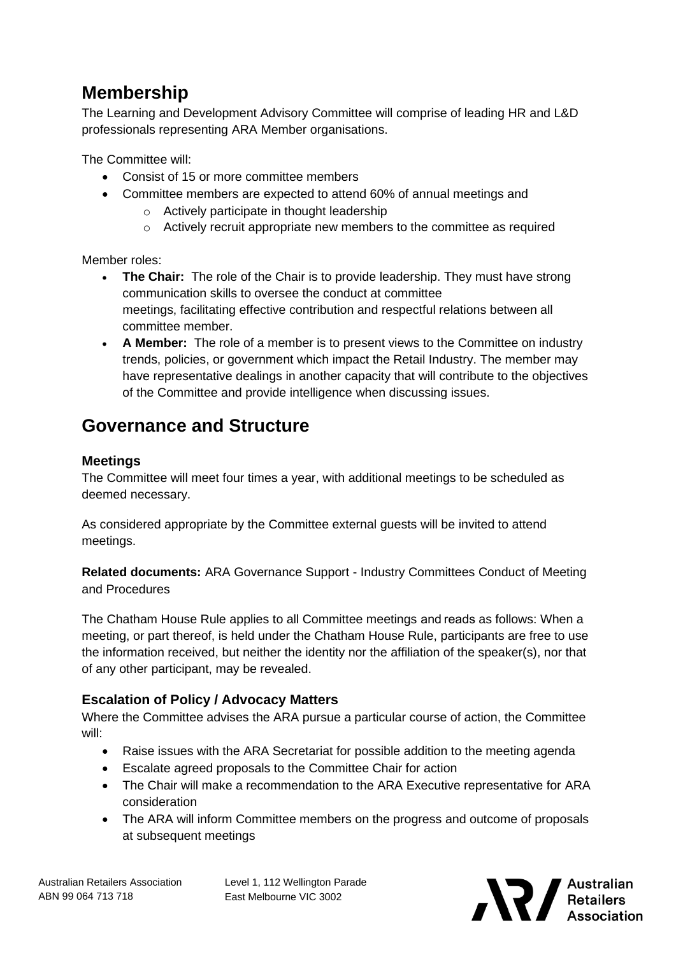## **Membership**

The Learning and Development Advisory Committee will comprise of leading HR and L&D professionals representing ARA Member organisations.

The Committee will:

- Consist of 15 or more committee members
- Committee members are expected to attend 60% of annual meetings and
	- o Actively participate in thought leadership
	- $\circ$  Actively recruit appropriate new members to the committee as required

Member roles:

- **The Chair:** The role of the Chair is to provide leadership. They must have strong communication skills to oversee the conduct at committee meetings, facilitating effective contribution and respectful relations between all committee member.
- **A Member:** The role of a member is to present views to the Committee on industry trends, policies, or government which impact the Retail Industry. The member may have representative dealings in another capacity that will contribute to the objectives of the Committee and provide intelligence when discussing issues.

### **Governance and Structure**

#### **Meetings**

The Committee will meet four times a year, with additional meetings to be scheduled as deemed necessary.

As considered appropriate by the Committee external guests will be invited to attend meetings.

**Related documents:** ARA Governance Support - Industry Committees Conduct of Meeting and Procedures

The Chatham House Rule applies to all Committee meetings and reads as follows: When a meeting, or part thereof, is held under the Chatham House Rule, participants are free to use the information received, but neither the identity nor the affiliation of the speaker(s), nor that of any other participant, may be revealed.

#### **Escalation of Policy / Advocacy Matters**

Where the Committee advises the ARA pursue a particular course of action, the Committee will:

- Raise issues with the ARA Secretariat for possible addition to the meeting agenda
- Escalate agreed proposals to the Committee Chair for action
- The Chair will make a recommendation to the ARA Executive representative for ARA consideration
- The ARA will inform Committee members on the progress and outcome of proposals at subsequent meetings

Level 1, 112 Wellington Parade East Melbourne VIC 3002